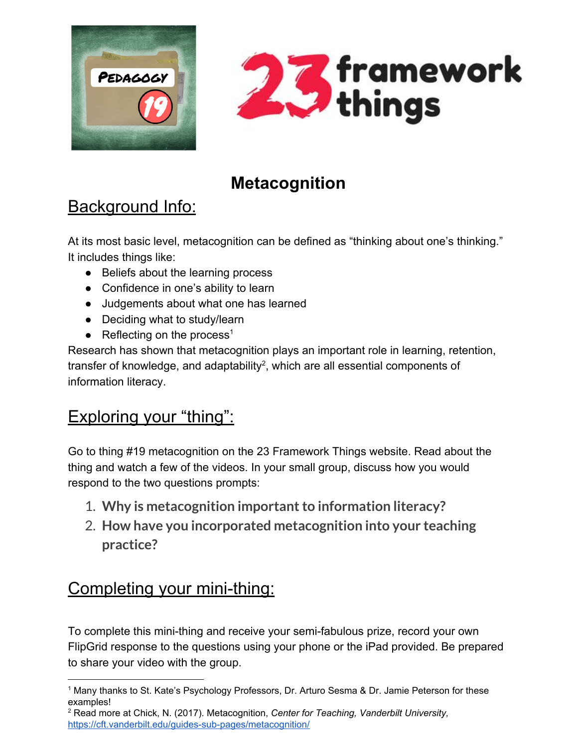



# **Metacognition**

# Background Info:

At its most basic level, metacognition can be defined as "thinking about one's thinking." It includes things like:

- Beliefs about the learning process
- Confidence in one's ability to learn
- Judgements about what one has learned
- Deciding what to study/learn
- Reflecting on the process<sup>1</sup>

Research has shown that metacognition plays an important role in learning, retention, transfer of knowledge, and adaptability<sup>2</sup>, which are all essential components of information literacy.

## Exploring your "thing":

Go to thing #19 metacognition on the 23 Framework Things website. Read about the thing and watch a few of the videos. In your small group, discuss how you would respond to the two questions prompts:

- 1. Why is metacognition important to information literacy?
- 2. **How have you incorporated metacognition into your teaching practice?**

## Completing your mini-thing:

To complete this mini-thing and receive your semi-fabulous prize, record your own FlipGrid response to the questions using your phone or the iPad provided. Be prepared to share your video with the group.

<sup>1</sup> Many thanks to St. Kate's Psychology Professors, Dr. Arturo Sesma & Dr. Jamie Peterson for these examples!

<sup>2</sup> Read more at Chick, N. (2017). Metacognition, *Center for Teaching, Vanderbilt University,* <https://cft.vanderbilt.edu/guides-sub-pages/metacognition/>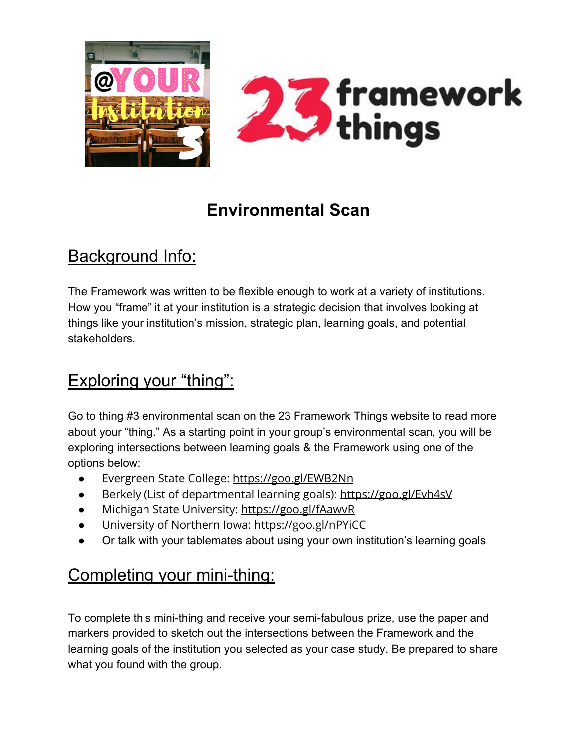



# **Environmental Scan**

#### Background Info:

The Framework was written to be flexible enough to work at a variety of institutions. How you "frame" it at your institution is a strategic decision that involves looking at things like your institution's mission, strategic plan, learning goals, and potential stakeholders.

# Exploring your "thing":

Go to thing #3 environmental scan on the 23 Framework Things website to read more about your "thing." As a starting point in your group's environmental scan, you will be exploring intersections between learning goals & the Framework using one of the options below:

- Evergreen State College: <https://goo.gl/EWB2Nn>
- Berkely (List of departmental learning goals): <https://goo.gl/Evh4sV>
- Michigan State University: <https://goo.gl/fAawvR>
- University of Northern Iowa:<https://goo.gl/nPYiCC>
- Or talk with your tablemates about using your own institution's learning goals

# Completing your mini-thing:

To complete this mini-thing and receive your semi-fabulous prize, use the paper and markers provided to sketch out the intersections between the Framework and the learning goals of the institution you selected as your case study. Be prepared to share what you found with the group.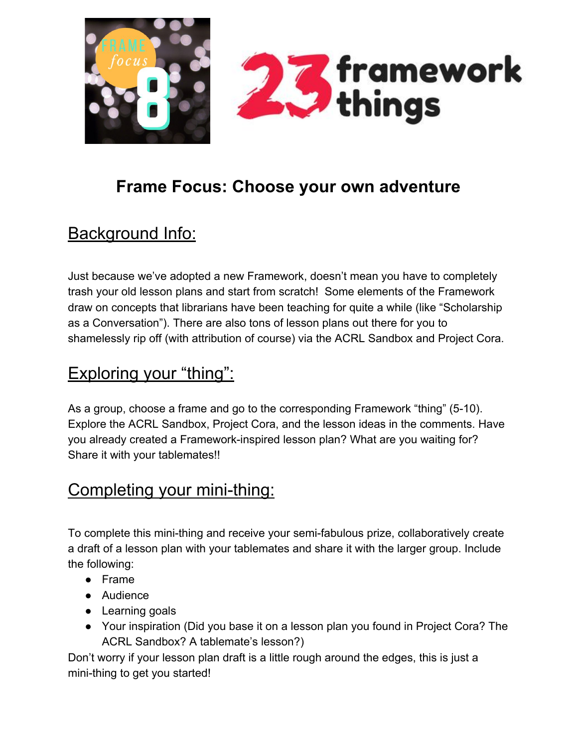

# **Frame Focus: Choose your own adventure**

## Background Info:

Just because we've adopted a new Framework, doesn't mean you have to completely trash your old lesson plans and start from scratch! Some elements of the Framework draw on concepts that librarians have been teaching for quite a while (like "Scholarship as a Conversation"). There are also tons of lesson plans out there for you to shamelessly rip off (with attribution of course) via the ACRL Sandbox and Project Cora.

#### Exploring your "thing":

As a group, choose a frame and go to the corresponding Framework "thing" (5-10). Explore the ACRL Sandbox, Project Cora, and the lesson ideas in the comments. Have you already created a Framework-inspired lesson plan? What are you waiting for? Share it with your tablemates!!

#### Completing your mini-thing:

To complete this mini-thing and receive your semi-fabulous prize, collaboratively create a draft of a lesson plan with your tablemates and share it with the larger group. Include the following:

- Frame
- Audience
- Learning goals
- Your inspiration (Did you base it on a lesson plan you found in Project Cora? The ACRL Sandbox? A tablemate's lesson?)

Don't worry if your lesson plan draft is a little rough around the edges, this is just a mini-thing to get you started!